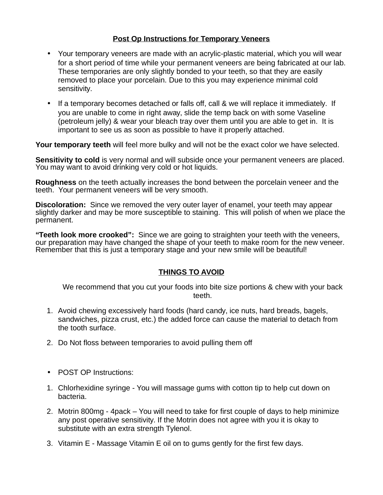## **Post Op Instructions for Temporary Veneers**

- Your temporary veneers are made with an acrylic-plastic material, which you will wear for a short period of time while your permanent veneers are being fabricated at our lab. These temporaries are only slightly bonded to your teeth, so that they are easily removed to place your porcelain. Due to this you may experience minimal cold sensitivity.
- If a temporary becomes detached or falls off, call & we will replace it immediately. If you are unable to come in right away, slide the temp back on with some Vaseline (petroleum jelly) & wear your bleach tray over them until you are able to get in. It is important to see us as soon as possible to have it properly attached.

**Your temporary teeth** will feel more bulky and will not be the exact color we have selected.

**Sensitivity to cold** is very normal and will subside once your permanent veneers are placed. You may want to avoid drinking very cold or hot liquids.

**Roughness** on the teeth actually increases the bond between the porcelain veneer and the teeth. Your permanent veneers will be very smooth.

**Discoloration:** Since we removed the very outer layer of enamel, your teeth may appear slightly darker and may be more susceptible to staining. This will polish of when we place the permanent.

**"Teeth look more crooked":** Since we are going to straighten your teeth with the veneers, our preparation may have changed the shape of your teeth to make room for the new veneer. Remember that this is just a temporary stage and your new smile will be beautiful!

## **THINGS TO AVOID**

We recommend that you cut your foods into bite size portions & chew with your back teeth.

- 1. Avoid chewing excessively hard foods (hard candy, ice nuts, hard breads, bagels, sandwiches, pizza crust, etc.) the added force can cause the material to detach from the tooth surface.
- 2. Do Not floss between temporaries to avoid pulling them off
- POST OP Instructions:
- 1. Chlorhexidine syringe You will massage gums with cotton tip to help cut down on bacteria.
- 2. Motrin 800mg 4pack You will need to take for first couple of days to help minimize any post operative sensitivity. If the Motrin does not agree with you it is okay to substitute with an extra strength Tylenol.
- 3. Vitamin E Massage Vitamin E oil on to gums gently for the first few days.